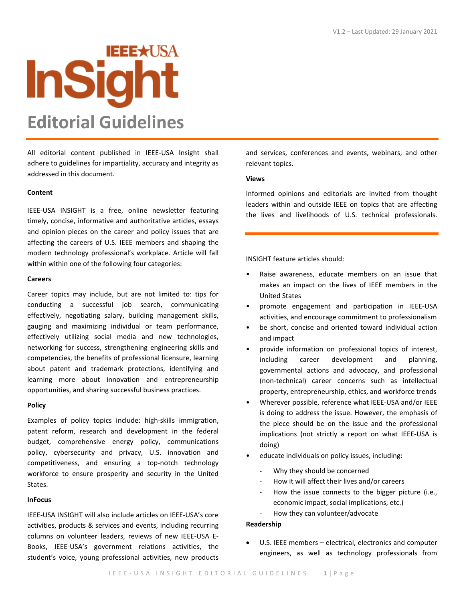# **IEEE\*USA InSight Editorial Guidelines**

All editorial content published in IEEE-USA Insight shall adhere to guidelines for impartiality, accuracy and integrity as addressed in this document.

# **Content**

IEEE-USA INSIGHT is a free, online newsletter featuring timely, concise, informative and authoritative articles, essays and opinion pieces on the career and policy issues that are affecting the careers of U.S. IEEE members and shaping the modern technology professional's workplace. Article will fall within within one of the following four categories:

# **Careers**

Career topics may include, but are not limited to: tips for conducting a successful job search, communicating effectively, negotiating salary, building management skills, gauging and maximizing individual or team performance, effectively utilizing social media and new technologies, networking for success, strengthening engineering skills and competencies, the benefits of professional licensure, learning about patent and trademark protections, identifying and learning more about innovation and entrepreneurship opportunities, and sharing successful business practices.

# **Policy**

Examples of policy topics include: high-skills immigration, patent reform, research and development in the federal budget, comprehensive energy policy, communications policy, cybersecurity and privacy, U.S. innovation and competitiveness, and ensuring a top-notch technology workforce to ensure prosperity and security in the United States.

# **InFocus**

IEEE-USA INSIGHT will also include articles on IEEE-USA's core activities, products & services and events, including recurring columns on volunteer leaders, reviews of new IEEE-USA E-Books, IEEE-USA's government relations activities, the student's voice, young professional activities, new products

and services, conferences and events, webinars, and other relevant topics.

# **Views**

Informed opinions and editorials are invited from thought leaders within and outside IEEE on topics that are affecting the lives and livelihoods of U.S. technical professionals.

INSIGHT feature articles should:

- Raise awareness, educate members on an issue that makes an impact on the lives of IEEE members in the United States
- promote engagement and participation in IEEE-USA activities, and encourage commitment to professionalism
- be short, concise and oriented toward individual action and impact
- provide information on professional topics of interest, including career development and planning, governmental actions and advocacy, and professional (non-technical) career concerns such as intellectual property, entrepreneurship, ethics, and workforce trends
- Wherever possible, reference what IEEE-USA and/or IEEE is doing to address the issue. However, the emphasis of the piece should be on the issue and the professional implications (not strictly a report on what IEEE-USA is doing)
- educate individuals on policy issues, including:
	- Why they should be concerned
	- How it will affect their lives and/or careers
	- How the issue connects to the bigger picture (i.e., economic impact, social implications, etc.) How they can volunteer/advocate

# **Readership**

U.S. IEEE members – electrical, electronics and computer engineers, as well as technology professionals from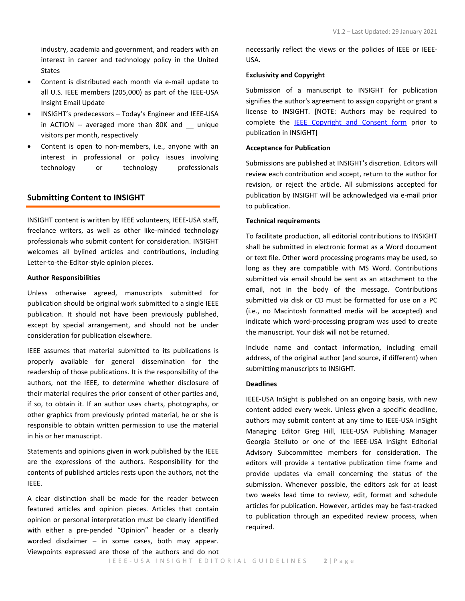industry, academia and government, and readers with an interest in career and technology policy in the United States

- Content is distributed each month via e-mail update to all U.S. IEEE members (205,000) as part of the IEEE-USA Insight Email Update
- INSIGHT's predecessors Today's Engineer and IEEE-USA in ACTION -- averaged more than 80K and \_\_ unique visitors per month, respectively
- Content is open to non-members, i.e., anyone with an interest in professional or policy issues involving technology or technology professionals

# **Submitting Content to INSIGHT**

INSIGHT content is written by IEEE volunteers, IEEE-USA staff, freelance writers, as well as other like-minded technology professionals who submit content for consideration. INSIGHT welcomes all bylined articles and contributions, including Letter-to-the-Editor-style opinion pieces.

# **Author Responsibilities**

Unless otherwise agreed, manuscripts submitted for publication should be original work submitted to a single IEEE publication. It should not have been previously published, except by special arrangement, and should not be under consideration for publication elsewhere.

IEEE assumes that material submitted to its publications is properly available for general dissemination for the readership of those publications. It is the responsibility of the authors, not the IEEE, to determine whether disclosure of their material requires the prior consent of other parties and, if so, to obtain it. If an author uses charts, photographs, or other graphics from previously printed material, he or she is responsible to obtain written permission to use the material in his or her manuscript.

Statements and opinions given in work published by the IEEE are the expressions of the authors. Responsibility for the contents of published articles rests upon the authors, not the IEEE.

A clear distinction shall be made for the reader between featured articles and opinion pieces. Articles that contain opinion or personal interpretation must be clearly identified with either a pre-pended "Opinion" header or a clearly worded disclaimer  $-$  in some cases, both may appear. Viewpoints expressed are those of the authors and do not necessarily reflect the views or the policies of IEEE or IEEE-USA.

## **Exclusivity and Copyright**

Submission of a manuscript to INSIGHT for publication signifies the author's agreement to assign copyright or grant a license to INSIGHT. [NOTE: Authors may be required to complete the [IEEE Copyright and Consent form](http://www.ieee.org/publications_standards/publications/rights/copyrightmain.html#sect1) prior to publication in INSIGHT]

## **Acceptance for Publication**

Submissions are published at INSIGHT's discretion. Editors will review each contribution and accept, return to the author for revision, or reject the article. All submissions accepted for publication by INSIGHT will be acknowledged via e-mail prior to publication.

# **Technical requirements**

To facilitate production, all editorial contributions to INSIGHT shall be submitted in electronic format as a Word document or text file. Other word processing programs may be used, so long as they are compatible with MS Word. Contributions submitted via email should be sent as an attachment to the email, not in the body of the message. Contributions submitted via disk or CD must be formatted for use on a PC (i.e., no Macintosh formatted media will be accepted) and indicate which word-processing program was used to create the manuscript. Your disk will not be returned.

Include name and contact information, including email address, of the original author (and source, if different) when submitting manuscripts to INSIGHT.

# **Deadlines**

IEEE-USA InSight is published on an ongoing basis, with new content added every week. Unless given a specific deadline, authors may submit content at any time to IEEE-USA InSight Managing Editor Greg Hill, IEEE-USA Publishing Manager Georgia Stelluto or one of the IEEE-USA InSight Editorial Advisory Subcommittee members for consideration. The editors will provide a tentative publication time frame and provide updates via email concerning the status of the submission. Whenever possible, the editors ask for at least two weeks lead time to review, edit, format and schedule articles for publication. However, articles may be fast-tracked to publication through an expedited review process, when required.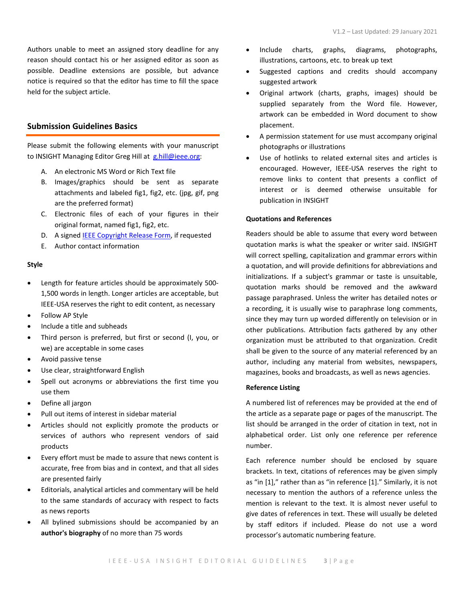Authors unable to meet an assigned story deadline for any reason should contact his or her assigned editor as soon as possible. Deadline extensions are possible, but advance notice is required so that the editor has time to fill the space held for the subject article.

# **Submission Guidelines Basics**

Please submit the following elements with your manuscript to INSIGHT Managing Editor Greg Hill at [g.hill@ieee.org:](mailto:g.hill@ieee.org)

- A. An electronic MS Word or Rich Text file
- B. Images/graphics should be sent as separate attachments and labeled fig1, fig2, etc. (jpg, gif, png are the preferred format)
- C. Electronic files of each of your figures in their original format, named fig1, fig2, etc.
- D. A signe[d IEEE Copyright Release Form,](http://www.ieee.org/publications_standards/publications/rights/copyrightmain.html#sect1) if requested
- E. Author contact information

# **Style**

- Length for feature articles should be approximately 500- 1,500 words in length. Longer articles are acceptable, but IEEE-USA reserves the right to edit content, as necessary
- Follow AP Style
- Include a title and subheads
- Third person is preferred, but first or second (I, you, or we) are acceptable in some cases
- Avoid passive tense
- Use clear, straightforward English
- Spell out acronyms or abbreviations the first time you use them
- Define all jargon
- Pull out items of interest in sidebar material
- Articles should not explicitly promote the products or services of authors who represent vendors of said products
- Every effort must be made to assure that news content is accurate, free from bias and in context, and that all sides are presented fairly
- Editorials, analytical articles and commentary will be held to the same standards of accuracy with respect to facts as news reports
- All bylined submissions should be accompanied by an **author's biography** of no more than 75 words
- Include charts, graphs, diagrams, photographs, illustrations, cartoons, etc. to break up text
- Suggested captions and credits should accompany suggested artwork
- Original artwork (charts, graphs, images) should be supplied separately from the Word file. However, artwork can be embedded in Word document to show placement.
- A permission statement for use must accompany original photographs or illustrations
- Use of hotlinks to related external sites and articles is encouraged. However, IEEE-USA reserves the right to remove links to content that presents a conflict of interest or is deemed otherwise unsuitable for publication in INSIGHT

# **Quotations and References**

Readers should be able to assume that every word between quotation marks is what the speaker or writer said. INSIGHT will correct spelling, capitalization and grammar errors within a quotation, and will provide definitions for abbreviations and initializations. If a subject's grammar or taste is unsuitable, quotation marks should be removed and the awkward passage paraphrased. Unless the writer has detailed notes or a recording, it is usually wise to paraphrase long comments, since they may turn up worded differently on television or in other publications. Attribution facts gathered by any other organization must be attributed to that organization. Credit shall be given to the source of any material referenced by an author, including any material from websites, newspapers, magazines, books and broadcasts, as well as news agencies.

## **Reference Listing**

A numbered list of references may be provided at the end of the article as a separate page or pages of the manuscript. The list should be arranged in the order of citation in text, not in alphabetical order. List only one reference per reference number.

Each reference number should be enclosed by square brackets. In text, citations of references may be given simply as "in [1]," rather than as "in reference [1]." Similarly, it is not necessary to mention the authors of a reference unless the mention is relevant to the text. It is almost never useful to give dates of references in text. These will usually be deleted by staff editors if included. Please do not use a word processor's automatic numbering feature.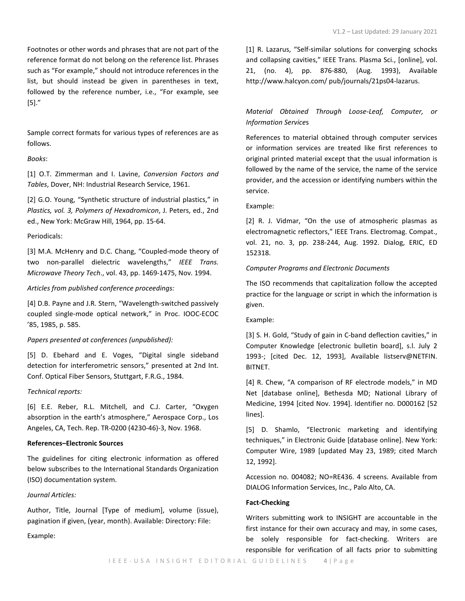Sample correct formats for various types of references are as follows.

# *Books*:

[1] O.T. Zimmerman and I. Lavine, *Conversion Factors and Tables*, Dover, NH: Industrial Research Service, 1961.

[2] G.O. Young, "Synthetic structure of industrial plastics," in *Plastics, vol. 3, Polymers of Hexadromicon*, J. Peters, ed., 2nd ed., New York: McGraw Hill, 1964, pp. 15-64.

## Periodicals:

[3] M.A. McHenry and D.C. Chang, "Coupled-mode theory of two non-parallel dielectric wavelengths," *IEEE Trans. Microwave Theory Tech*., vol. 43, pp. 1469-1475, Nov. 1994.

# *Articles from published conference proceedings:*

[4] D.B. Payne and J.R. Stern, "Wavelength-switched passively coupled single-mode optical network," in Proc. IOOC-ECOC '85, 1985, p. 585.

# *Papers presented at conferences (unpublished):*

[5] D. Ebehard and E. Voges, "Digital single sideband detection for interferometric sensors," presented at 2nd Int. Conf. Optical Fiber Sensors, Stuttgart, F.R.G., 1984.

#### *Technical reports:*

[6] E.E. Reber, R.L. Mitchell, and C.J. Carter, "Oxygen absorption in the earth's atmosphere," Aerospace Corp., Los Angeles, CA, Tech. Rep. TR-0200 (4230-46)-3, Nov. 1968.

## **References–Electronic Sources**

The guidelines for citing electronic information as offered below subscribes to the International Standards Organization (ISO) documentation system.

# *Journal Articles:*

Author, Title, Journal [Type of medium], volume (issue), pagination if given, (year, month). Available: Directory: File:

Example:

[1] R. Lazarus, "Self-similar solutions for converging schocks and collapsing cavities," IEEE Trans. Plasma Sci., [online], vol. 21, (no. 4), pp. 876-880, (Aug. 1993), Available http://www.halcyon.com/ pub/journals/21ps04-lazarus.

# *Material Obtained Through Loose-Leaf, Computer, or Information Service*s

References to material obtained through computer services or information services are treated like first references to original printed material except that the usual information is followed by the name of the service, the name of the service provider, and the accession or identifying numbers within the service.

#### Example:

[2] R. J. Vidmar, "On the use of atmospheric plasmas as electromagnetic reflectors," IEEE Trans. Electromag. Compat., vol. 21, no. 3, pp. 238-244, Aug. 1992. Dialog, ERIC, ED 152318.

# *Computer Programs and Electronic Documents*

The ISO recommends that capitalization follow the accepted practice for the language or script in which the information is given.

#### Example:

[3] S. H. Gold, "Study of gain in C-band deflection cavities," in Computer Knowledge [electronic bulletin board], s.l. July 2 1993-; [cited Dec. 12, 1993], Available listserv@NETFIN. BITNET.

[4] R. Chew, "A comparison of RF electrode models," in MD Net [database online], Bethesda MD; National Library of Medicine, 1994 [cited Nov. 1994]. Identifier no. D000162 [52 lines].

[5] D. Shamlo, "Electronic marketing and identifying techniques," in Electronic Guide [database online]. New York: Computer Wire, 1989 [updated May 23, 1989; cited March 12, 1992].

Accession no. 004082; NO=RE436. 4 screens. Available from DIALOG Information Services, Inc., Palo Alto, CA.

#### **Fact-Checking**

Writers submitting work to INSIGHT are accountable in the first instance for their own accuracy and may, in some cases, be solely responsible for fact-checking. Writers are responsible for verification of all facts prior to submitting